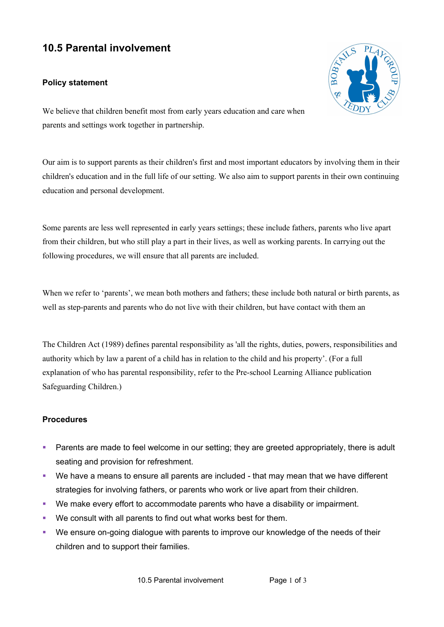## **10.5 Parental involvement**

## **Policy statement**



We believe that children benefit most from early years education and care when parents and settings work together in partnership.

Our aim is to support parents as their children's first and most important educators by involving them in their children's education and in the full life of our setting. We also aim to support parents in their own continuing education and personal development.

Some parents are less well represented in early years settings; these include fathers, parents who live apart from their children, but who still play a part in their lives, as well as working parents. In carrying out the following procedures, we will ensure that all parents are included.

When we refer to 'parents', we mean both mothers and fathers; these include both natural or birth parents, as well as step-parents and parents who do not live with their children, but have contact with them an

The Children Act (1989) defines parental responsibility as 'all the rights, duties, powers, responsibilities and authority which by law a parent of a child has in relation to the child and his property'. (For a full explanation of who has parental responsibility, refer to the Pre-school Learning Alliance publication Safeguarding Children.)

## **Procedures**

- ! Parents are made to feel welcome in our setting; they are greeted appropriately, there is adult seating and provision for refreshment.
- ! We have a means to ensure all parents are included that may mean that we have different strategies for involving fathers, or parents who work or live apart from their children.
- ! We make every effort to accommodate parents who have a disability or impairment.
- ! We consult with all parents to find out what works best for them.
- ! We ensure on-going dialogue with parents to improve our knowledge of the needs of their children and to support their families.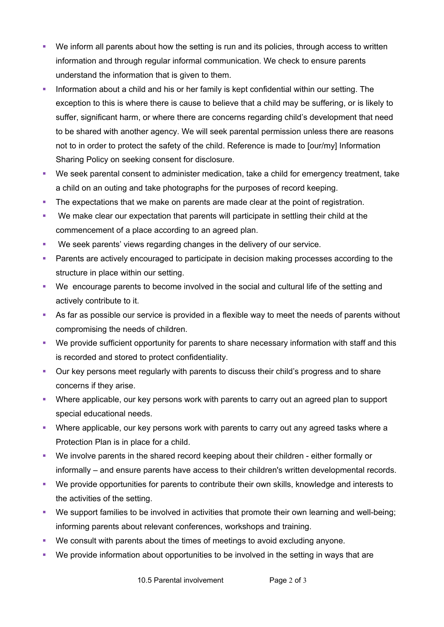- ! We inform all parents about how the setting is run and its policies, through access to written information and through regular informal communication. We check to ensure parents understand the information that is given to them.
- ! Information about a child and his or her family is kept confidential within our setting. The exception to this is where there is cause to believe that a child may be suffering, or is likely to suffer, significant harm, or where there are concerns regarding child's development that need to be shared with another agency. We will seek parental permission unless there are reasons not to in order to protect the safety of the child. Reference is made to [our/my] Information Sharing Policy on seeking consent for disclosure.
- ! We seek parental consent to administer medication, take a child for emergency treatment, take a child on an outing and take photographs for the purposes of record keeping.
- ! The expectations that we make on parents are made clear at the point of registration.
- ! We make clear our expectation that parents will participate in settling their child at the commencement of a place according to an agreed plan.
- ! We seek parents' views regarding changes in the delivery of our service.
- ! Parents are actively encouraged to participate in decision making processes according to the structure in place within our setting.
- ! We encourage parents to become involved in the social and cultural life of the setting and actively contribute to it.
- ! As far as possible our service is provided in a flexible way to meet the needs of parents without compromising the needs of children.
- ! We provide sufficient opportunity for parents to share necessary information with staff and this is recorded and stored to protect confidentiality.
- ! Our key persons meet regularly with parents to discuss their child's progress and to share concerns if they arise.
- ! Where applicable, our key persons work with parents to carry out an agreed plan to support special educational needs.
- ! Where applicable, our key persons work with parents to carry out any agreed tasks where a Protection Plan is in place for a child.
- ! We involve parents in the shared record keeping about their children either formally or informally – and ensure parents have access to their children's written developmental records.
- ! We provide opportunities for parents to contribute their own skills, knowledge and interests to the activities of the setting.
- ! We support families to be involved in activities that promote their own learning and well-being; informing parents about relevant conferences, workshops and training.
- ! We consult with parents about the times of meetings to avoid excluding anyone.
- ! We provide information about opportunities to be involved in the setting in ways that are